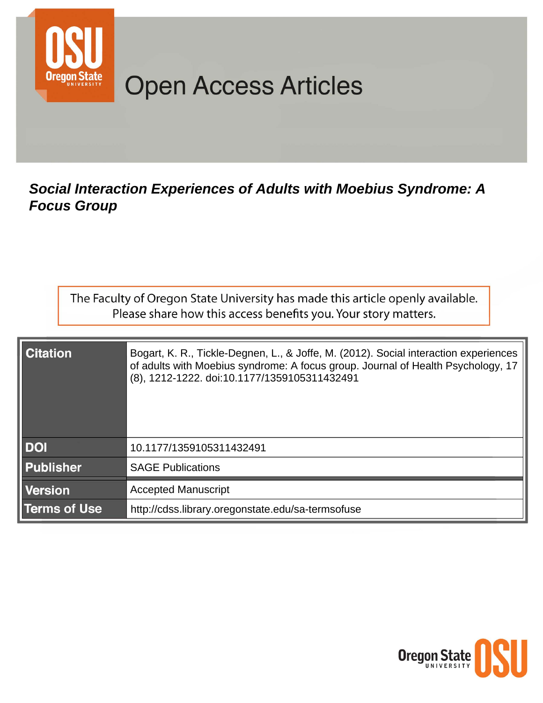

# **Open Access Articles**

# Social Interaction Experiences of Adults with Moebius Syndrome: A **Focus Group**

| The Faculty of Oregon State University has made this article openly available. |  |
|--------------------------------------------------------------------------------|--|
| Please share how this access benefits you. Your story matters.                 |  |

| <b>Citation</b>     | Bogart, K. R., Tickle-Degnen, L., & Joffe, M. (2012). Social interaction experiences<br>of adults with Moebius syndrome: A focus group. Journal of Health Psychology, 17<br>(8), 1212-1222. doi:10.1177/1359105311432491 |
|---------------------|--------------------------------------------------------------------------------------------------------------------------------------------------------------------------------------------------------------------------|
| <b>DOI</b>          | 10.1177/1359105311432491                                                                                                                                                                                                 |
| <b>Publisher</b>    | <b>SAGE Publications</b>                                                                                                                                                                                                 |
| <b>Version</b>      | <b>Accepted Manuscript</b>                                                                                                                                                                                               |
| <b>Terms of Use</b> | http://cdss.library.oregonstate.edu/sa-termsofuse                                                                                                                                                                        |

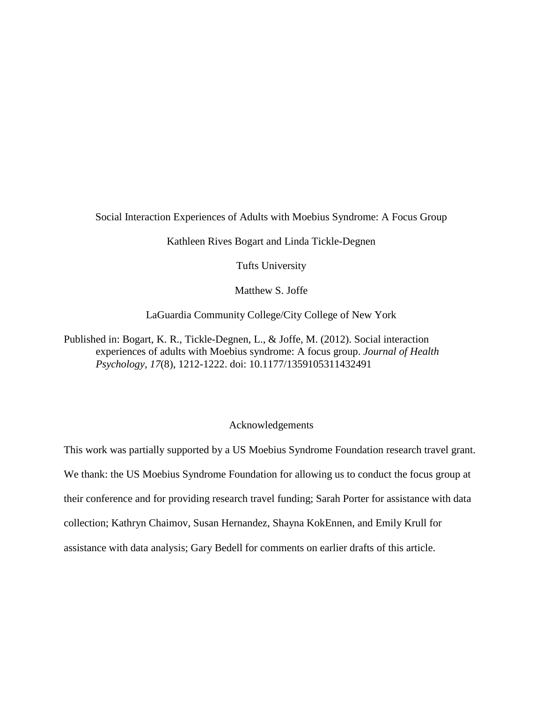Social Interaction Experiences of Adults with Moebius Syndrome: A Focus Group

Kathleen Rives Bogart and Linda Tickle-Degnen

Tufts University

Matthew S. Joffe

LaGuardia Community College/City College of New York

Published in: Bogart, K. R., Tickle-Degnen, L., & Joffe, M. (2012). Social interaction experiences of adults with Moebius syndrome: A focus group. *Journal of Health Psychology, 17*(8), 1212-1222. doi: 10.1177/1359105311432491

# Acknowledgements

This work was partially supported by a US Moebius Syndrome Foundation research travel grant. We thank: the US Moebius Syndrome Foundation for allowing us to conduct the focus group at their conference and for providing research travel funding; Sarah Porter for assistance with data collection; Kathryn Chaimov, Susan Hernandez, Shayna KokEnnen, and Emily Krull for assistance with data analysis; Gary Bedell for comments on earlier drafts of this article.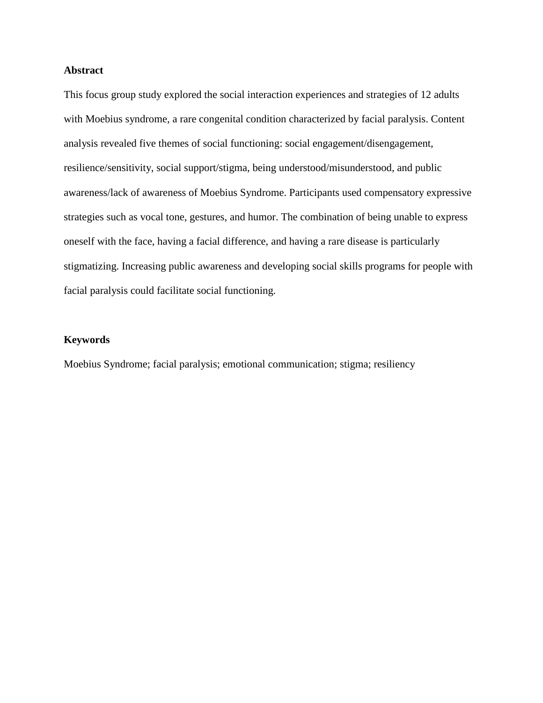# **Abstract**

This focus group study explored the social interaction experiences and strategies of 12 adults with Moebius syndrome, a rare congenital condition characterized by facial paralysis. Content analysis revealed five themes of social functioning: social engagement/disengagement, resilience/sensitivity, social support/stigma, being understood/misunderstood, and public awareness/lack of awareness of Moebius Syndrome. Participants used compensatory expressive strategies such as vocal tone, gestures, and humor. The combination of being unable to express oneself with the face, having a facial difference, and having a rare disease is particularly stigmatizing. Increasing public awareness and developing social skills programs for people with facial paralysis could facilitate social functioning.

# **Keywords**

Moebius Syndrome; facial paralysis; emotional communication; stigma; resiliency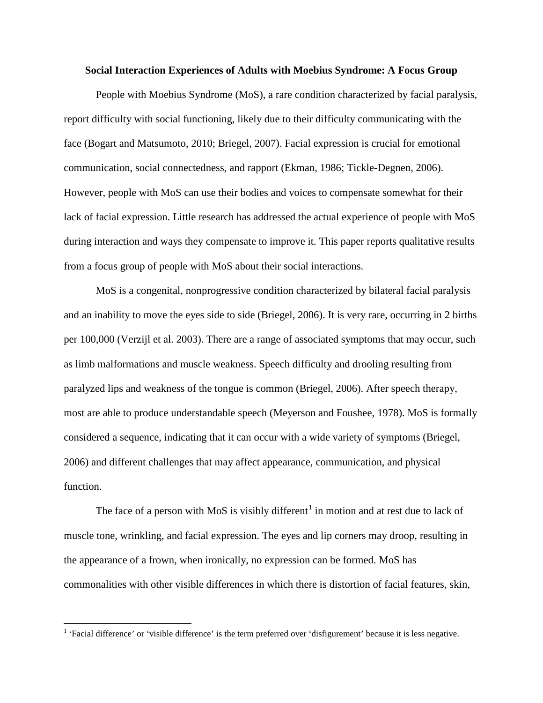#### **Social Interaction Experiences of Adults with Moebius Syndrome: A Focus Group**

People with Moebius Syndrome (MoS), a rare condition characterized by facial paralysis, report difficulty with social functioning, likely due to their difficulty communicating with the face (Bogart and Matsumoto, 2010; Briegel, 2007). Facial expression is crucial for emotional communication, social connectedness, and rapport (Ekman, 1986; Tickle-Degnen, 2006). However, people with MoS can use their bodies and voices to compensate somewhat for their lack of facial expression. Little research has addressed the actual experience of people with MoS during interaction and ways they compensate to improve it. This paper reports qualitative results from a focus group of people with MoS about their social interactions.

MoS is a congenital, nonprogressive condition characterized by bilateral facial paralysis and an inability to move the eyes side to side (Briegel, 2006). It is very rare, occurring in 2 births per 100,000 (Verzijl et al. 2003). There are a range of associated symptoms that may occur, such as limb malformations and muscle weakness. Speech difficulty and drooling resulting from paralyzed lips and weakness of the tongue is common (Briegel, 2006). After speech therapy, most are able to produce understandable speech (Meyerson and Foushee, 1978). MoS is formally considered a sequence, indicating that it can occur with a wide variety of symptoms (Briegel, 2006) and different challenges that may affect appearance, communication, and physical function.

The face of a person with MoS is visibly different<sup>[1](#page-3-0)</sup> in motion and at rest due to lack of muscle tone, wrinkling, and facial expression. The eyes and lip corners may droop, resulting in the appearance of a frown, when ironically, no expression can be formed. MoS has commonalities with other visible differences in which there is distortion of facial features, skin,

<span id="page-3-0"></span><sup>&</sup>lt;sup>1</sup> 'Facial difference' or 'visible difference' is the term preferred over 'disfigurement' because it is less negative.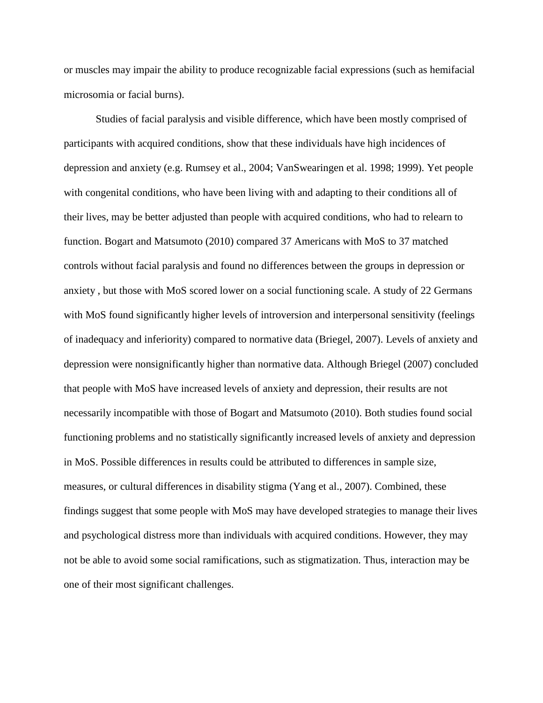or muscles may impair the ability to produce recognizable facial expressions (such as hemifacial microsomia or facial burns).

Studies of facial paralysis and visible difference, which have been mostly comprised of participants with acquired conditions, show that these individuals have high incidences of depression and anxiety (e.g. Rumsey et al., 2004; VanSwearingen et al. 1998; 1999). Yet people with congenital conditions, who have been living with and adapting to their conditions all of their lives, may be better adjusted than people with acquired conditions, who had to relearn to function. Bogart and Matsumoto (2010) compared 37 Americans with MoS to 37 matched controls without facial paralysis and found no differences between the groups in depression or anxiety , but those with MoS scored lower on a social functioning scale. A study of 22 Germans with MoS found significantly higher levels of introversion and interpersonal sensitivity (feelings of inadequacy and inferiority) compared to normative data (Briegel, 2007). Levels of anxiety and depression were nonsignificantly higher than normative data. Although Briegel (2007) concluded that people with MoS have increased levels of anxiety and depression, their results are not necessarily incompatible with those of Bogart and Matsumoto (2010). Both studies found social functioning problems and no statistically significantly increased levels of anxiety and depression in MoS. Possible differences in results could be attributed to differences in sample size, measures, or cultural differences in disability stigma (Yang et al., 2007). Combined, these findings suggest that some people with MoS may have developed strategies to manage their lives and psychological distress more than individuals with acquired conditions. However, they may not be able to avoid some social ramifications, such as stigmatization. Thus, interaction may be one of their most significant challenges.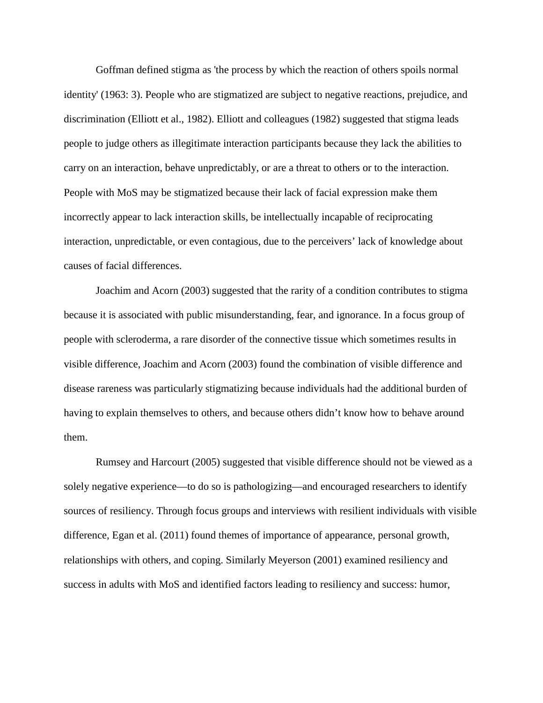Goffman defined stigma as 'the process by which the reaction of others spoils normal identity' (1963: 3). People who are stigmatized are subject to negative reactions, prejudice, and discrimination (Elliott et al., 1982). Elliott and colleagues (1982) suggested that stigma leads people to judge others as illegitimate interaction participants because they lack the abilities to carry on an interaction, behave unpredictably, or are a threat to others or to the interaction. People with MoS may be stigmatized because their lack of facial expression make them incorrectly appear to lack interaction skills, be intellectually incapable of reciprocating interaction, unpredictable, or even contagious, due to the perceivers' lack of knowledge about causes of facial differences.

Joachim and Acorn (2003) suggested that the rarity of a condition contributes to stigma because it is associated with public misunderstanding, fear, and ignorance. In a focus group of people with scleroderma, a rare disorder of the connective tissue which sometimes results in visible difference, Joachim and Acorn (2003) found the combination of visible difference and disease rareness was particularly stigmatizing because individuals had the additional burden of having to explain themselves to others, and because others didn't know how to behave around them.

Rumsey and Harcourt (2005) suggested that visible difference should not be viewed as a solely negative experience—to do so is pathologizing—and encouraged researchers to identify sources of resiliency. Through focus groups and interviews with resilient individuals with visible difference, Egan et al. (2011) found themes of importance of appearance, personal growth, relationships with others, and coping. Similarly Meyerson (2001) examined resiliency and success in adults with MoS and identified factors leading to resiliency and success: humor,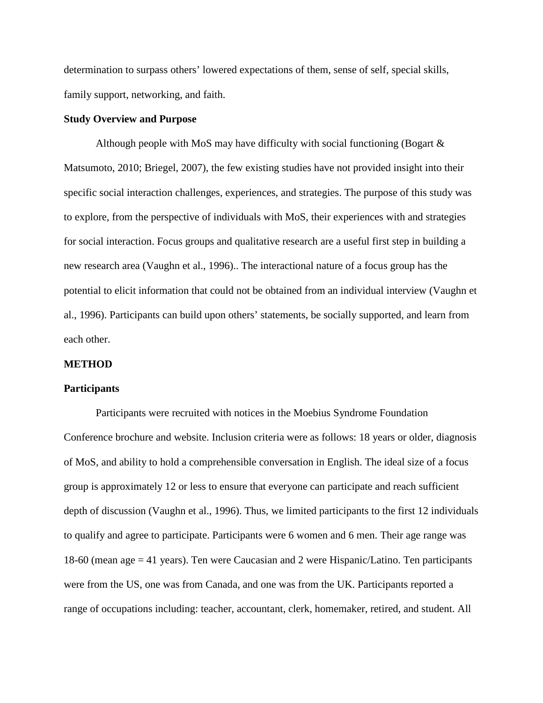determination to surpass others' lowered expectations of them, sense of self, special skills, family support, networking, and faith.

# **Study Overview and Purpose**

Although people with MoS may have difficulty with social functioning (Bogart  $\&$ Matsumoto, 2010; Briegel, 2007), the few existing studies have not provided insight into their specific social interaction challenges, experiences, and strategies. The purpose of this study was to explore, from the perspective of individuals with MoS, their experiences with and strategies for social interaction. Focus groups and qualitative research are a useful first step in building a new research area (Vaughn et al., 1996).. The interactional nature of a focus group has the potential to elicit information that could not be obtained from an individual interview (Vaughn et al., 1996). Participants can build upon others' statements, be socially supported, and learn from each other.

# **METHOD**

#### **Participants**

Participants were recruited with notices in the Moebius Syndrome Foundation Conference brochure and website. Inclusion criteria were as follows: 18 years or older, diagnosis of MoS, and ability to hold a comprehensible conversation in English. The ideal size of a focus group is approximately 12 or less to ensure that everyone can participate and reach sufficient depth of discussion (Vaughn et al., 1996). Thus, we limited participants to the first 12 individuals to qualify and agree to participate. Participants were 6 women and 6 men. Their age range was 18-60 (mean age = 41 years). Ten were Caucasian and 2 were Hispanic/Latino. Ten participants were from the US, one was from Canada, and one was from the UK. Participants reported a range of occupations including: teacher, accountant, clerk, homemaker, retired, and student. All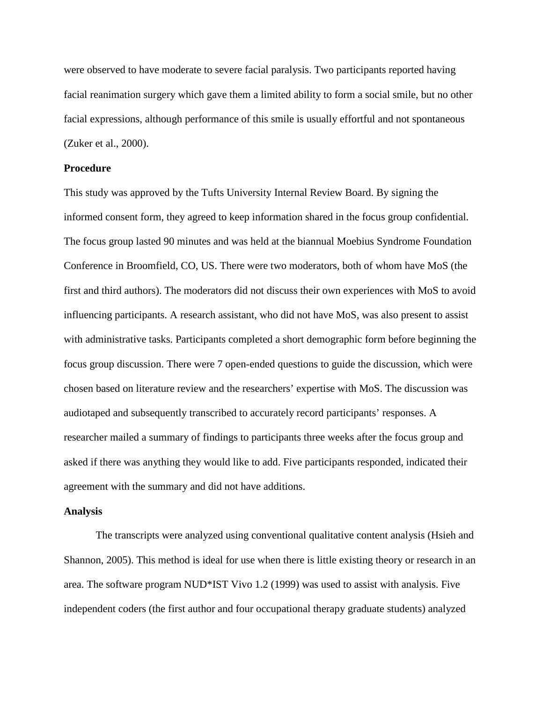were observed to have moderate to severe facial paralysis. Two participants reported having facial reanimation surgery which gave them a limited ability to form a social smile, but no other facial expressions, although performance of this smile is usually effortful and not spontaneous (Zuker et al., 2000).

# **Procedure**

This study was approved by the Tufts University Internal Review Board. By signing the informed consent form, they agreed to keep information shared in the focus group confidential. The focus group lasted 90 minutes and was held at the biannual Moebius Syndrome Foundation Conference in Broomfield, CO, US. There were two moderators, both of whom have MoS (the first and third authors). The moderators did not discuss their own experiences with MoS to avoid influencing participants. A research assistant, who did not have MoS, was also present to assist with administrative tasks. Participants completed a short demographic form before beginning the focus group discussion. There were 7 open-ended questions to guide the discussion, which were chosen based on literature review and the researchers' expertise with MoS. The discussion was audiotaped and subsequently transcribed to accurately record participants' responses. A researcher mailed a summary of findings to participants three weeks after the focus group and asked if there was anything they would like to add. Five participants responded, indicated their agreement with the summary and did not have additions.

#### **Analysis**

The transcripts were analyzed using conventional qualitative content analysis (Hsieh and Shannon, 2005). This method is ideal for use when there is little existing theory or research in an area. The software program NUD\*IST Vivo 1.2 (1999) was used to assist with analysis. Five independent coders (the first author and four occupational therapy graduate students) analyzed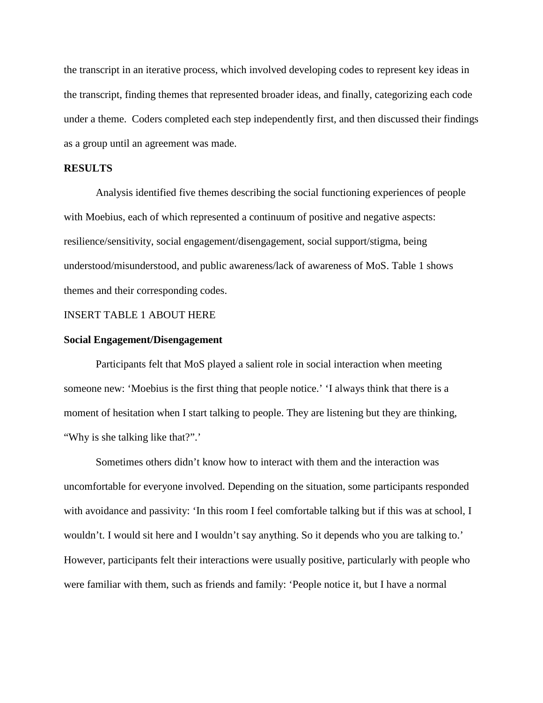the transcript in an iterative process, which involved developing codes to represent key ideas in the transcript, finding themes that represented broader ideas, and finally, categorizing each code under a theme. Coders completed each step independently first, and then discussed their findings as a group until an agreement was made.

# **RESULTS**

Analysis identified five themes describing the social functioning experiences of people with Moebius, each of which represented a continuum of positive and negative aspects: resilience/sensitivity, social engagement/disengagement, social support/stigma, being understood/misunderstood, and public awareness/lack of awareness of MoS. Table 1 shows themes and their corresponding codes.

# INSERT TABLE 1 ABOUT HERE

#### **Social Engagement/Disengagement**

Participants felt that MoS played a salient role in social interaction when meeting someone new: 'Moebius is the first thing that people notice.' 'I always think that there is a moment of hesitation when I start talking to people. They are listening but they are thinking, "Why is she talking like that?".'

Sometimes others didn't know how to interact with them and the interaction was uncomfortable for everyone involved. Depending on the situation, some participants responded with avoidance and passivity: 'In this room I feel comfortable talking but if this was at school, I wouldn't. I would sit here and I wouldn't say anything. So it depends who you are talking to.' However, participants felt their interactions were usually positive, particularly with people who were familiar with them, such as friends and family: 'People notice it, but I have a normal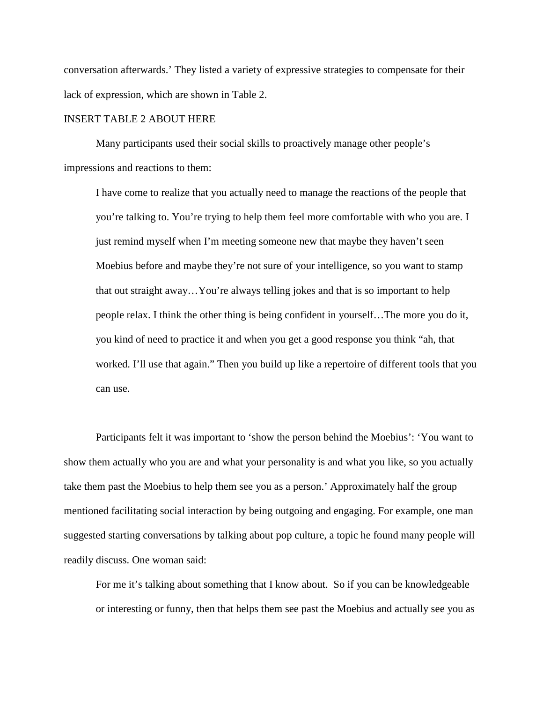conversation afterwards.' They listed a variety of expressive strategies to compensate for their lack of expression, which are shown in Table 2.

# INSERT TABLE 2 ABOUT HERE

Many participants used their social skills to proactively manage other people's impressions and reactions to them:

I have come to realize that you actually need to manage the reactions of the people that you're talking to. You're trying to help them feel more comfortable with who you are. I just remind myself when I'm meeting someone new that maybe they haven't seen Moebius before and maybe they're not sure of your intelligence, so you want to stamp that out straight away…You're always telling jokes and that is so important to help people relax. I think the other thing is being confident in yourself…The more you do it, you kind of need to practice it and when you get a good response you think "ah, that worked. I'll use that again." Then you build up like a repertoire of different tools that you can use.

Participants felt it was important to 'show the person behind the Moebius': 'You want to show them actually who you are and what your personality is and what you like, so you actually take them past the Moebius to help them see you as a person.' Approximately half the group mentioned facilitating social interaction by being outgoing and engaging. For example, one man suggested starting conversations by talking about pop culture, a topic he found many people will readily discuss. One woman said:

For me it's talking about something that I know about. So if you can be knowledgeable or interesting or funny, then that helps them see past the Moebius and actually see you as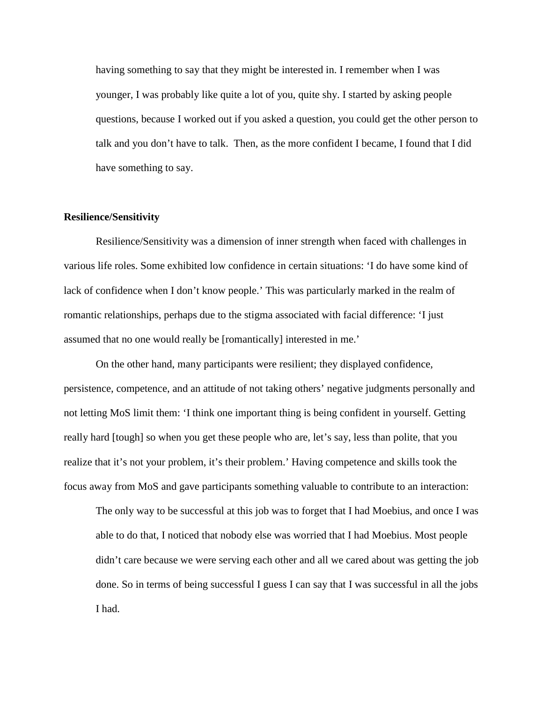having something to say that they might be interested in. I remember when I was younger, I was probably like quite a lot of you, quite shy. I started by asking people questions, because I worked out if you asked a question, you could get the other person to talk and you don't have to talk. Then, as the more confident I became, I found that I did have something to say.

# **Resilience/Sensitivity**

Resilience/Sensitivity was a dimension of inner strength when faced with challenges in various life roles. Some exhibited low confidence in certain situations: 'I do have some kind of lack of confidence when I don't know people.' This was particularly marked in the realm of romantic relationships, perhaps due to the stigma associated with facial difference: 'I just assumed that no one would really be [romantically] interested in me.'

On the other hand, many participants were resilient; they displayed confidence, persistence, competence, and an attitude of not taking others' negative judgments personally and not letting MoS limit them: 'I think one important thing is being confident in yourself. Getting really hard [tough] so when you get these people who are, let's say, less than polite, that you realize that it's not your problem, it's their problem.' Having competence and skills took the focus away from MoS and gave participants something valuable to contribute to an interaction:

The only way to be successful at this job was to forget that I had Moebius, and once I was able to do that, I noticed that nobody else was worried that I had Moebius. Most people didn't care because we were serving each other and all we cared about was getting the job done. So in terms of being successful I guess I can say that I was successful in all the jobs I had.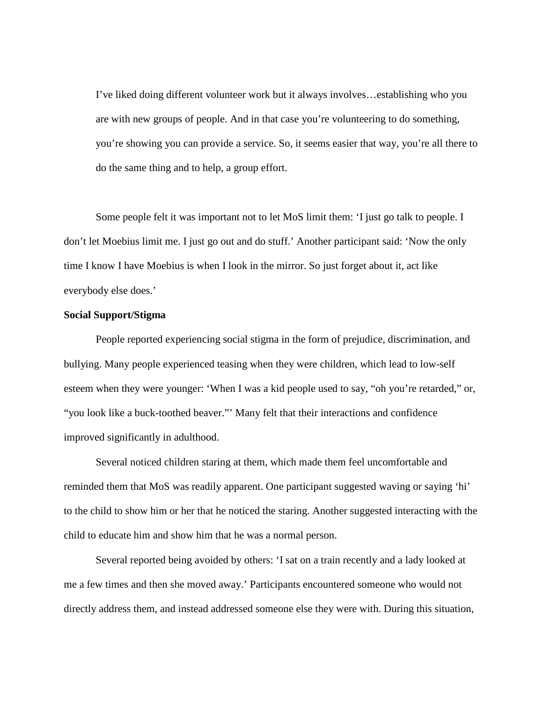I've liked doing different volunteer work but it always involves…establishing who you are with new groups of people. And in that case you're volunteering to do something, you're showing you can provide a service. So, it seems easier that way, you're all there to do the same thing and to help, a group effort.

Some people felt it was important not to let MoS limit them: 'I just go talk to people. I don't let Moebius limit me. I just go out and do stuff.' Another participant said: 'Now the only time I know I have Moebius is when I look in the mirror. So just forget about it, act like everybody else does.'

# **Social Support/Stigma**

People reported experiencing social stigma in the form of prejudice, discrimination, and bullying. Many people experienced teasing when they were children, which lead to low-self esteem when they were younger: 'When I was a kid people used to say, "oh you're retarded," or, "you look like a buck-toothed beaver."' Many felt that their interactions and confidence improved significantly in adulthood.

Several noticed children staring at them, which made them feel uncomfortable and reminded them that MoS was readily apparent. One participant suggested waving or saying 'hi' to the child to show him or her that he noticed the staring. Another suggested interacting with the child to educate him and show him that he was a normal person.

Several reported being avoided by others: 'I sat on a train recently and a lady looked at me a few times and then she moved away.' Participants encountered someone who would not directly address them, and instead addressed someone else they were with. During this situation,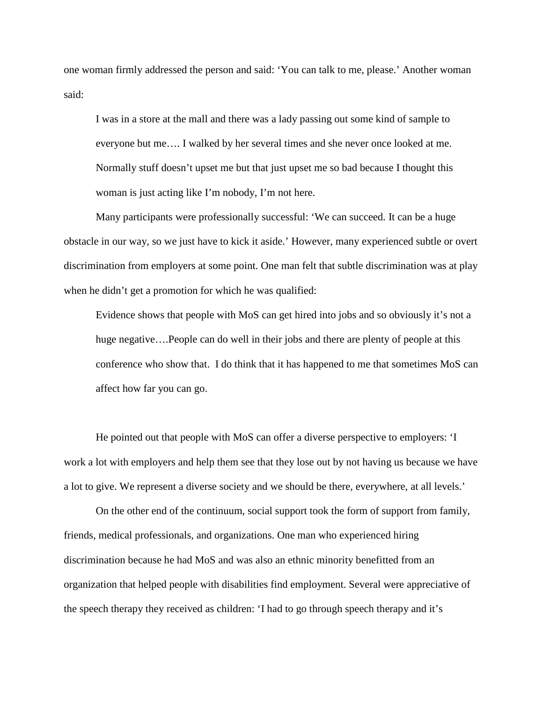one woman firmly addressed the person and said: 'You can talk to me, please.' Another woman said:

I was in a store at the mall and there was a lady passing out some kind of sample to everyone but me…. I walked by her several times and she never once looked at me. Normally stuff doesn't upset me but that just upset me so bad because I thought this woman is just acting like I'm nobody, I'm not here.

Many participants were professionally successful: 'We can succeed. It can be a huge obstacle in our way, so we just have to kick it aside.' However, many experienced subtle or overt discrimination from employers at some point. One man felt that subtle discrimination was at play when he didn't get a promotion for which he was qualified:

Evidence shows that people with MoS can get hired into jobs and so obviously it's not a huge negative….People can do well in their jobs and there are plenty of people at this conference who show that. I do think that it has happened to me that sometimes MoS can affect how far you can go.

He pointed out that people with MoS can offer a diverse perspective to employers: 'I work a lot with employers and help them see that they lose out by not having us because we have a lot to give. We represent a diverse society and we should be there, everywhere, at all levels.'

On the other end of the continuum, social support took the form of support from family, friends, medical professionals, and organizations. One man who experienced hiring discrimination because he had MoS and was also an ethnic minority benefitted from an organization that helped people with disabilities find employment. Several were appreciative of the speech therapy they received as children: 'I had to go through speech therapy and it's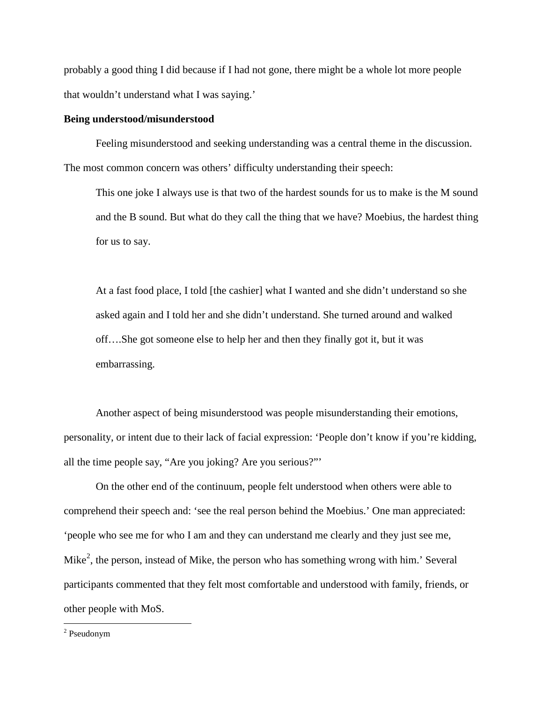probably a good thing I did because if I had not gone, there might be a whole lot more people that wouldn't understand what I was saying.'

# **Being understood/misunderstood**

Feeling misunderstood and seeking understanding was a central theme in the discussion. The most common concern was others' difficulty understanding their speech:

This one joke I always use is that two of the hardest sounds for us to make is the M sound and the B sound. But what do they call the thing that we have? Moebius, the hardest thing for us to say.

At a fast food place, I told [the cashier] what I wanted and she didn't understand so she asked again and I told her and she didn't understand. She turned around and walked off….She got someone else to help her and then they finally got it, but it was embarrassing.

Another aspect of being misunderstood was people misunderstanding their emotions, personality, or intent due to their lack of facial expression: 'People don't know if you're kidding, all the time people say, "Are you joking? Are you serious?"'

On the other end of the continuum, people felt understood when others were able to comprehend their speech and: 'see the real person behind the Moebius.' One man appreciated: 'people who see me for who I am and they can understand me clearly and they just see me, Mike<sup>[2](#page-13-0)</sup>, the person, instead of Mike, the person who has something wrong with him.' Several participants commented that they felt most comfortable and understood with family, friends, or other people with MoS.

<span id="page-13-0"></span>2 Pseudonym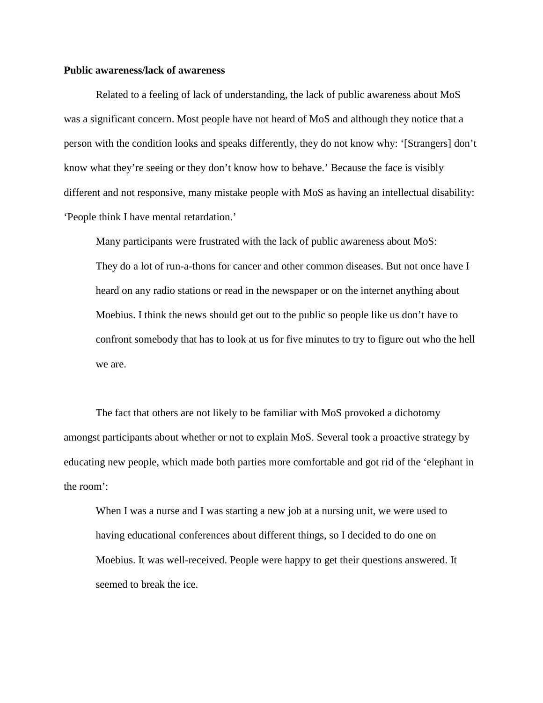# **Public awareness/lack of awareness**

Related to a feeling of lack of understanding, the lack of public awareness about MoS was a significant concern. Most people have not heard of MoS and although they notice that a person with the condition looks and speaks differently, they do not know why: '[Strangers] don't know what they're seeing or they don't know how to behave.' Because the face is visibly different and not responsive, many mistake people with MoS as having an intellectual disability: 'People think I have mental retardation.'

Many participants were frustrated with the lack of public awareness about MoS: They do a lot of run-a-thons for cancer and other common diseases. But not once have I heard on any radio stations or read in the newspaper or on the internet anything about Moebius. I think the news should get out to the public so people like us don't have to confront somebody that has to look at us for five minutes to try to figure out who the hell we are.

The fact that others are not likely to be familiar with MoS provoked a dichotomy amongst participants about whether or not to explain MoS. Several took a proactive strategy by educating new people, which made both parties more comfortable and got rid of the 'elephant in the room':

When I was a nurse and I was starting a new job at a nursing unit, we were used to having educational conferences about different things, so I decided to do one on Moebius. It was well-received. People were happy to get their questions answered. It seemed to break the ice.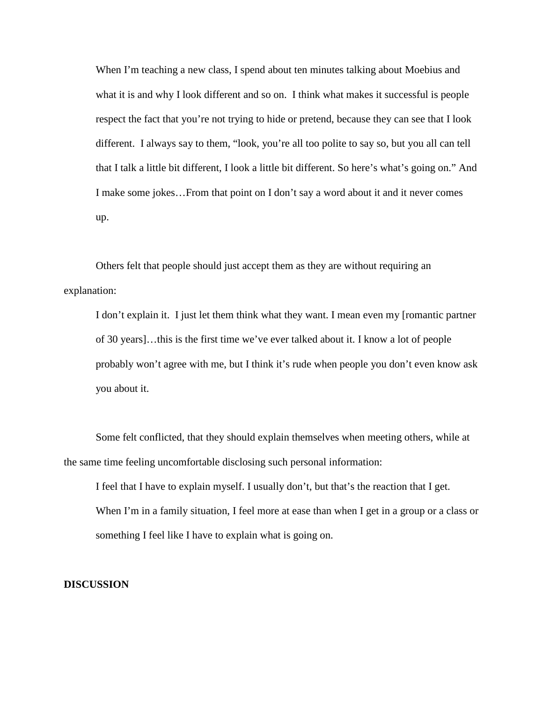When I'm teaching a new class, I spend about ten minutes talking about Moebius and what it is and why I look different and so on. I think what makes it successful is people respect the fact that you're not trying to hide or pretend, because they can see that I look different. I always say to them, "look, you're all too polite to say so, but you all can tell that I talk a little bit different, I look a little bit different. So here's what's going on." And I make some jokes…From that point on I don't say a word about it and it never comes up.

Others felt that people should just accept them as they are without requiring an explanation:

I don't explain it. I just let them think what they want. I mean even my [romantic partner of 30 years]…this is the first time we've ever talked about it. I know a lot of people probably won't agree with me, but I think it's rude when people you don't even know ask you about it.

Some felt conflicted, that they should explain themselves when meeting others, while at the same time feeling uncomfortable disclosing such personal information:

I feel that I have to explain myself. I usually don't, but that's the reaction that I get. When I'm in a family situation, I feel more at ease than when I get in a group or a class or something I feel like I have to explain what is going on.

# **DISCUSSION**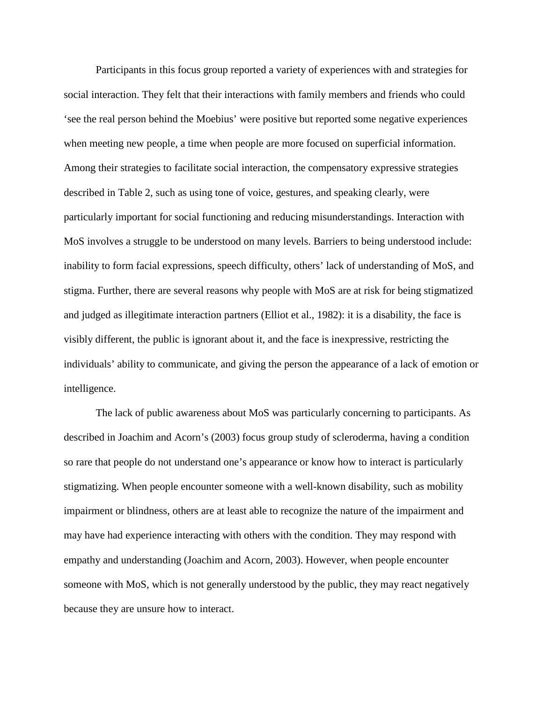Participants in this focus group reported a variety of experiences with and strategies for social interaction. They felt that their interactions with family members and friends who could 'see the real person behind the Moebius' were positive but reported some negative experiences when meeting new people, a time when people are more focused on superficial information. Among their strategies to facilitate social interaction, the compensatory expressive strategies described in Table 2, such as using tone of voice, gestures, and speaking clearly, were particularly important for social functioning and reducing misunderstandings. Interaction with MoS involves a struggle to be understood on many levels. Barriers to being understood include: inability to form facial expressions, speech difficulty, others' lack of understanding of MoS, and stigma. Further, there are several reasons why people with MoS are at risk for being stigmatized and judged as illegitimate interaction partners (Elliot et al., 1982): it is a disability, the face is visibly different, the public is ignorant about it, and the face is inexpressive, restricting the individuals' ability to communicate, and giving the person the appearance of a lack of emotion or intelligence.

The lack of public awareness about MoS was particularly concerning to participants. As described in Joachim and Acorn's (2003) focus group study of scleroderma, having a condition so rare that people do not understand one's appearance or know how to interact is particularly stigmatizing. When people encounter someone with a well-known disability, such as mobility impairment or blindness, others are at least able to recognize the nature of the impairment and may have had experience interacting with others with the condition. They may respond with empathy and understanding (Joachim and Acorn, 2003). However, when people encounter someone with MoS, which is not generally understood by the public, they may react negatively because they are unsure how to interact.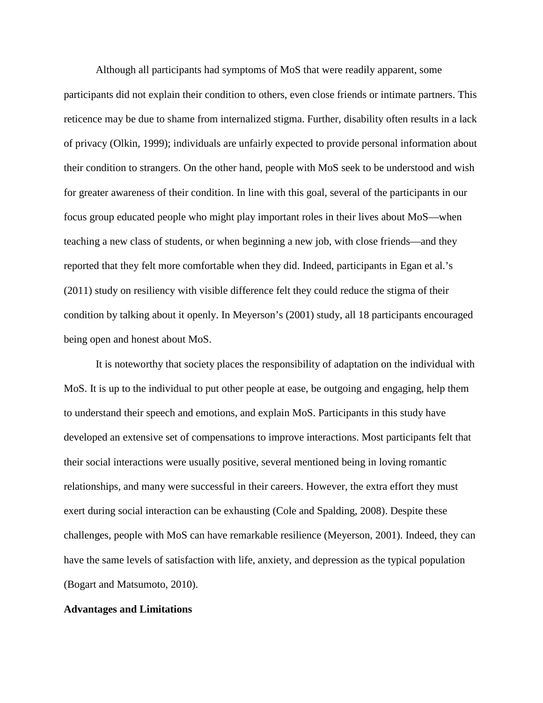Although all participants had symptoms of MoS that were readily apparent, some participants did not explain their condition to others, even close friends or intimate partners. This reticence may be due to shame from internalized stigma. Further, disability often results in a lack of privacy (Olkin, 1999); individuals are unfairly expected to provide personal information about their condition to strangers. On the other hand, people with MoS seek to be understood and wish for greater awareness of their condition. In line with this goal, several of the participants in our focus group educated people who might play important roles in their lives about MoS—when teaching a new class of students, or when beginning a new job, with close friends—and they reported that they felt more comfortable when they did. Indeed, participants in Egan et al.'s (2011) study on resiliency with visible difference felt they could reduce the stigma of their condition by talking about it openly. In Meyerson's (2001) study, all 18 participants encouraged being open and honest about MoS.

It is noteworthy that society places the responsibility of adaptation on the individual with MoS. It is up to the individual to put other people at ease, be outgoing and engaging, help them to understand their speech and emotions, and explain MoS. Participants in this study have developed an extensive set of compensations to improve interactions. Most participants felt that their social interactions were usually positive, several mentioned being in loving romantic relationships, and many were successful in their careers. However, the extra effort they must exert during social interaction can be exhausting (Cole and Spalding, 2008). Despite these challenges, people with MoS can have remarkable resilience (Meyerson, 2001). Indeed, they can have the same levels of satisfaction with life, anxiety, and depression as the typical population (Bogart and Matsumoto, 2010).

#### **Advantages and Limitations**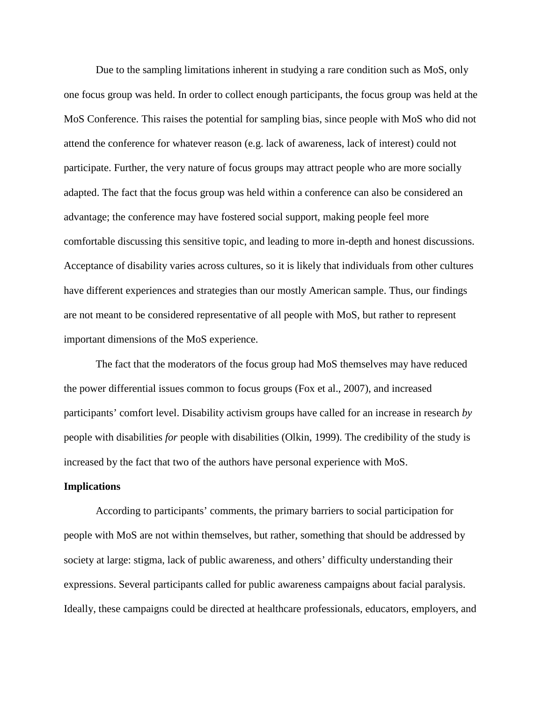Due to the sampling limitations inherent in studying a rare condition such as MoS, only one focus group was held. In order to collect enough participants, the focus group was held at the MoS Conference. This raises the potential for sampling bias, since people with MoS who did not attend the conference for whatever reason (e.g. lack of awareness, lack of interest) could not participate. Further, the very nature of focus groups may attract people who are more socially adapted. The fact that the focus group was held within a conference can also be considered an advantage; the conference may have fostered social support, making people feel more comfortable discussing this sensitive topic, and leading to more in-depth and honest discussions. Acceptance of disability varies across cultures, so it is likely that individuals from other cultures have different experiences and strategies than our mostly American sample. Thus, our findings are not meant to be considered representative of all people with MoS, but rather to represent important dimensions of the MoS experience.

The fact that the moderators of the focus group had MoS themselves may have reduced the power differential issues common to focus groups (Fox et al., 2007), and increased participants' comfort level. Disability activism groups have called for an increase in research *by* people with disabilities *for* people with disabilities (Olkin, 1999). The credibility of the study is increased by the fact that two of the authors have personal experience with MoS.

# **Implications**

According to participants' comments, the primary barriers to social participation for people with MoS are not within themselves, but rather, something that should be addressed by society at large: stigma, lack of public awareness, and others' difficulty understanding their expressions. Several participants called for public awareness campaigns about facial paralysis. Ideally, these campaigns could be directed at healthcare professionals, educators, employers, and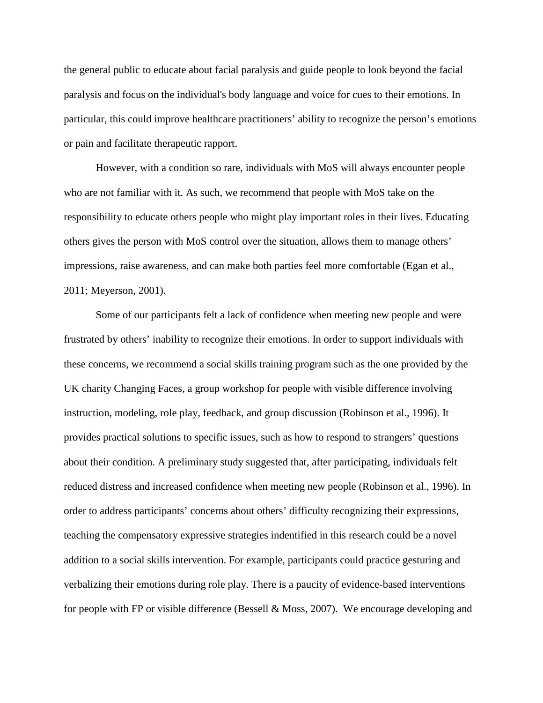the general public to educate about facial paralysis and guide people to look beyond the facial paralysis and focus on the individual's body language and voice for cues to their emotions. In particular, this could improve healthcare practitioners' ability to recognize the person's emotions or pain and facilitate therapeutic rapport.

However, with a condition so rare, individuals with MoS will always encounter people who are not familiar with it. As such, we recommend that people with MoS take on the responsibility to educate others people who might play important roles in their lives. Educating others gives the person with MoS control over the situation, allows them to manage others' impressions, raise awareness, and can make both parties feel more comfortable (Egan et al., 2011; Meyerson, 2001).

Some of our participants felt a lack of confidence when meeting new people and were frustrated by others' inability to recognize their emotions. In order to support individuals with these concerns, we recommend a social skills training program such as the one provided by the UK charity Changing Faces, a group workshop for people with visible difference involving instruction, modeling, role play, feedback, and group discussion (Robinson et al., 1996). It provides practical solutions to specific issues, such as how to respond to strangers' questions about their condition. A preliminary study suggested that, after participating, individuals felt reduced distress and increased confidence when meeting new people (Robinson et al., 1996). In order to address participants' concerns about others' difficulty recognizing their expressions, teaching the compensatory expressive strategies indentified in this research could be a novel addition to a social skills intervention. For example, participants could practice gesturing and verbalizing their emotions during role play. There is a paucity of evidence-based interventions for people with FP or visible difference (Bessell  $& Mass, 2007$ ). We encourage developing and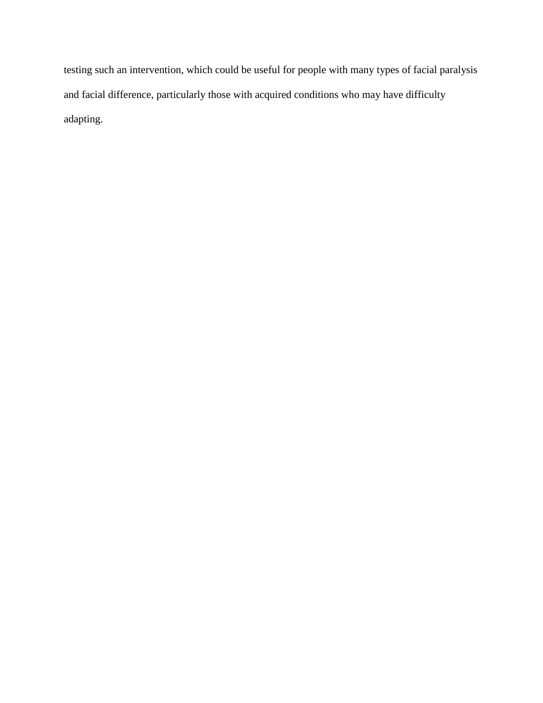testing such an intervention, which could be useful for people with many types of facial paralysis and facial difference, particularly those with acquired conditions who may have difficulty adapting.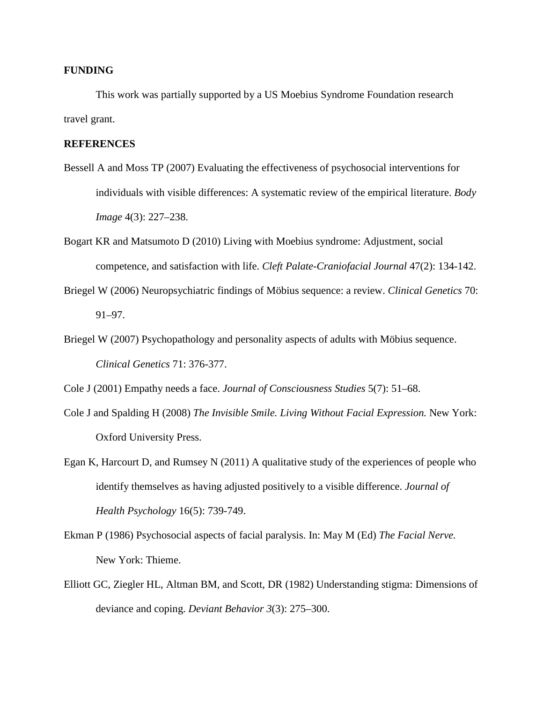# **FUNDING**

This work was partially supported by a US Moebius Syndrome Foundation research travel grant.

# **REFERENCES**

- Bessell A and Moss TP (2007) Evaluating the effectiveness of psychosocial interventions for individuals with visible differences: A systematic review of the empirical literature. *Body Image* 4(3): 227–238.
- Bogart KR and Matsumoto D (2010) Living with Moebius syndrome: Adjustment, social competence, and satisfaction with life. *Cleft Palate-Craniofacial Journal* 47(2): 134-142.
- Briegel W (2006) Neuropsychiatric findings of Möbius sequence: a review. *Clinical Genetics* 70: 91–97.
- Briegel W (2007) Psychopathology and personality aspects of adults with Möbius sequence. *Clinical Genetics* 71: 376-377.

Cole J (2001) Empathy needs a face. *Journal of Consciousness Studies* 5(7): 51–68.

- Cole J and Spalding H (2008) *The Invisible Smile. Living Without Facial Expression.* New York: Oxford University Press.
- Egan K, Harcourt D, and Rumsey N (2011) A qualitative study of the experiences of people who identify themselves as having adjusted positively to a visible difference. *Journal of Health Psychology* 16(5): 739-749.
- Ekman P (1986) Psychosocial aspects of facial paralysis. In: May M (Ed) *The Facial Nerve.* New York: Thieme.
- Elliott GC, Ziegler HL, Altman BM, and Scott, DR (1982) Understanding stigma: Dimensions of deviance and coping. *Deviant Behavior 3*(3): 275–300.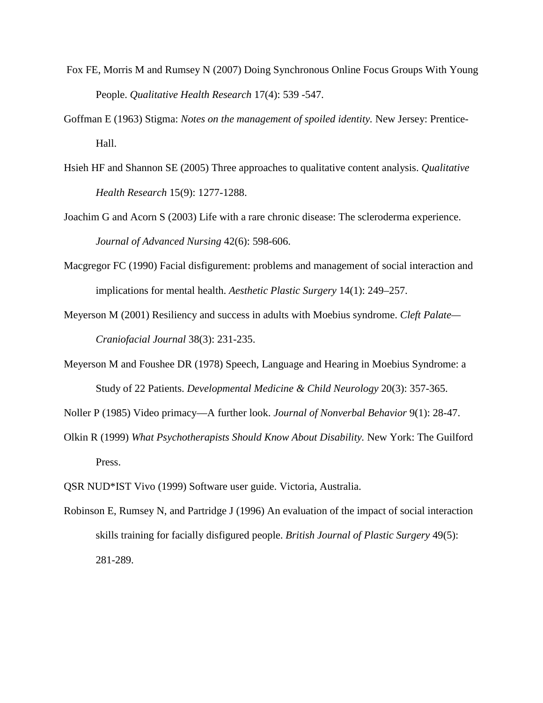- Fox FE, Morris M and Rumsey N (2007) Doing Synchronous Online Focus Groups With Young People. *Qualitative Health Research* 17(4): 539 -547.
- Goffman E (1963) Stigma: *Notes on the management of spoiled identity.* New Jersey: Prentice-Hall.
- Hsieh HF and Shannon SE (2005) Three approaches to qualitative content analysis. *Qualitative Health Research* 15(9): 1277-1288.
- Joachim G and Acorn S (2003) Life with a rare chronic disease: The scleroderma experience. *Journal of Advanced Nursing* 42(6): 598-606.
- Macgregor FC (1990) Facial disfigurement: problems and management of social interaction and implications for mental health. *Aesthetic Plastic Surgery* 14(1): 249–257.
- Meyerson M (2001) Resiliency and success in adults with Moebius syndrome. *Cleft Palate— Craniofacial Journal* 38(3): 231-235.
- Meyerson M and Foushee DR (1978) Speech, Language and Hearing in Moebius Syndrome: a Study of 22 Patients. *Developmental Medicine & Child Neurology* 20(3): 357-365.
- Noller P (1985) Video primacy—A further look. *Journal of Nonverbal Behavior* 9(1): 28-47.
- Olkin R (1999) *What Psychotherapists Should Know About Disability.* New York: The Guilford Press.
- QSR NUD\*IST Vivo (1999) Software user guide. Victoria, Australia.
- Robinson E, Rumsey N, and Partridge J (1996) An evaluation of the impact of social interaction skills training for facially disfigured people. *British Journal of Plastic Surgery* 49(5): 281-289.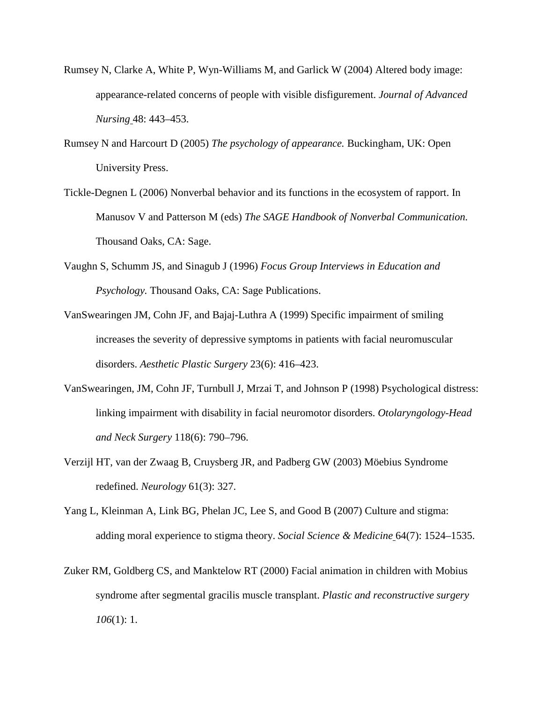- Rumsey N, Clarke A, White P, Wyn-Williams M, and Garlick W (2004) Altered body image: appearance-related concerns of people with visible disfigurement. *Journal of Advanced Nursing* 48: 443–453.
- Rumsey N and Harcourt D (2005) *The psychology of appearance.* Buckingham, UK: Open University Press.
- Tickle-Degnen L (2006) Nonverbal behavior and its functions in the ecosystem of rapport. In Manusov V and Patterson M (eds) *The SAGE Handbook of Nonverbal Communication.*  Thousand Oaks, CA: Sage.
- Vaughn S, Schumm JS, and Sinagub J (1996) *Focus Group Interviews in Education and Psychology.* Thousand Oaks, CA: Sage Publications.
- VanSwearingen JM, Cohn JF, and Bajaj-Luthra A (1999) Specific impairment of smiling increases the severity of depressive symptoms in patients with facial neuromuscular disorders. *Aesthetic Plastic Surgery* 23(6): 416–423.
- VanSwearingen, JM, Cohn JF, Turnbull J, Mrzai T, and Johnson P (1998) Psychological distress: linking impairment with disability in facial neuromotor disorders. *Otolaryngology-Head and Neck Surgery* 118(6): 790–796.
- Verzijl HT, van der Zwaag B, Cruysberg JR, and Padberg GW (2003) Möebius Syndrome redefined. *Neurology* 61(3): 327.
- Yang L, Kleinman A, Link BG, Phelan JC, Lee S, and Good B (2007) Culture and stigma: adding moral experience to stigma theory. *Social Science & Medicine* 64(7): 1524–1535.
- Zuker RM, Goldberg CS, and Manktelow RT (2000) Facial animation in children with Mobius syndrome after segmental gracilis muscle transplant. *Plastic and reconstructive surgery 106*(1): 1.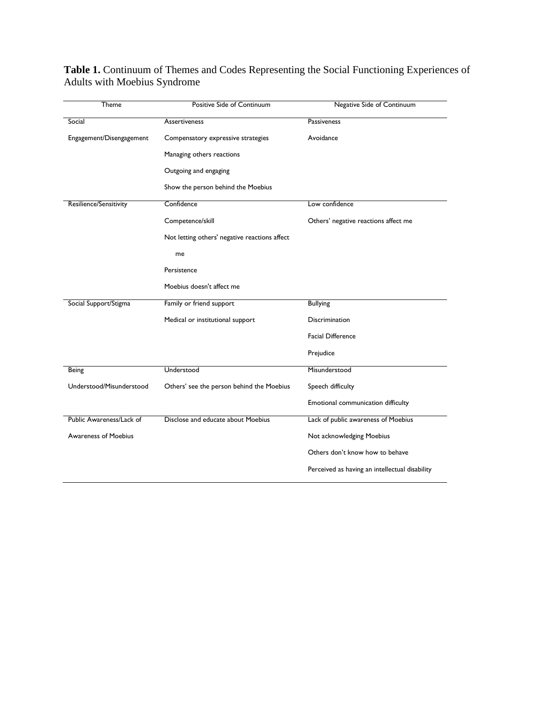**Table 1.** Continuum of Themes and Codes Representing the Social Functioning Experiences of Adults with Moebius Syndrome

| Theme                       | Positive Side of Continuum                    | Negative Side of Continuum                     |
|-----------------------------|-----------------------------------------------|------------------------------------------------|
| Social                      | Assertiveness                                 | Passiveness                                    |
| Engagement/Disengagement    | Compensatory expressive strategies            | Avoidance                                      |
|                             | Managing others reactions                     |                                                |
|                             | Outgoing and engaging                         |                                                |
|                             | Show the person behind the Moebius            |                                                |
| Resilience/Sensitivity      | Confidence                                    | Low confidence                                 |
|                             | Competence/skill                              | Others' negative reactions affect me           |
|                             | Not letting others' negative reactions affect |                                                |
|                             | me                                            |                                                |
|                             | Persistence                                   |                                                |
|                             | Moebius doesn't affect me                     |                                                |
| Social Support/Stigma       | Family or friend support                      | <b>Bullying</b>                                |
|                             | Medical or institutional support              | Discrimination                                 |
|                             |                                               | <b>Facial Difference</b>                       |
|                             |                                               | Prejudice                                      |
| Being                       | Understood                                    | Misunderstood                                  |
| Understood/Misunderstood    | Others' see the person behind the Moebius     | Speech difficulty                              |
|                             |                                               | Emotional communication difficulty             |
| Public Awareness/Lack of    | Disclose and educate about Moebius            | Lack of public awareness of Moebius            |
| <b>Awareness of Moebius</b> |                                               | Not acknowledging Moebius                      |
|                             |                                               | Others don't know how to behave                |
|                             |                                               | Perceived as having an intellectual disability |